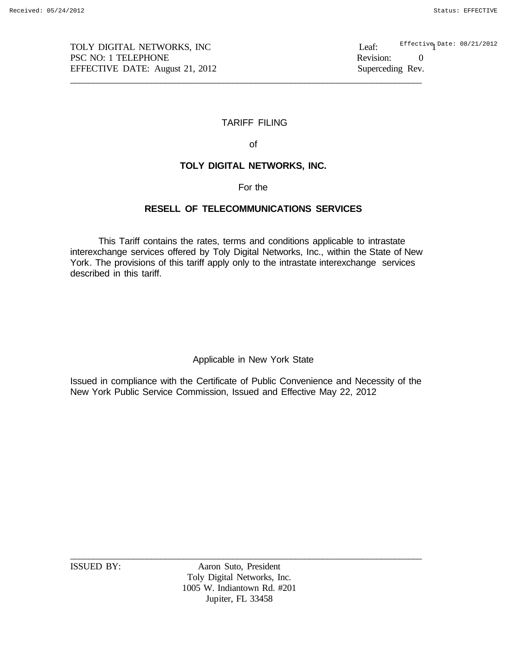TOLY DIGITAL NETWORKS, INC<br>
PSC NO: 1 TELEPHONE<br>
Revision: PSC NO: 1 TELEPHONE 2000 PSC NO: 1 TELEPHONE 2000 PSC NO: 1 TELEPHONE EFFECTIVE DATE: August 21, 2012 Superceding Rev. \_\_\_\_\_\_\_\_\_\_\_\_\_\_\_\_\_\_\_\_\_\_\_\_\_\_\_\_\_\_\_\_\_\_\_\_\_\_\_\_\_\_\_\_\_\_\_\_\_\_\_\_\_\_\_\_\_\_\_\_\_\_\_\_\_\_\_\_\_\_\_\_\_\_\_\_\_\_

Effective Date: 08/21/2012

# TARIFF FILING

of

# **TOLY DIGITAL NETWORKS, INC.**

For the

# **RESELL OF TELECOMMUNICATIONS SERVICES**

This Tariff contains the rates, terms and conditions applicable to intrastate interexchange services offered by Toly Digital Networks, Inc., within the State of New York. The provisions of this tariff apply only to the intrastate interexchange services described in this tariff.

Applicable in New York State

Issued in compliance with the Certificate of Public Convenience and Necessity of the New York Public Service Commission, Issued and Effective May 22, 2012

ISSUED BY: Aaron Suto, President Toly Digital Networks, Inc. 1005 W. Indiantown Rd. #201 Jupiter, FL 33458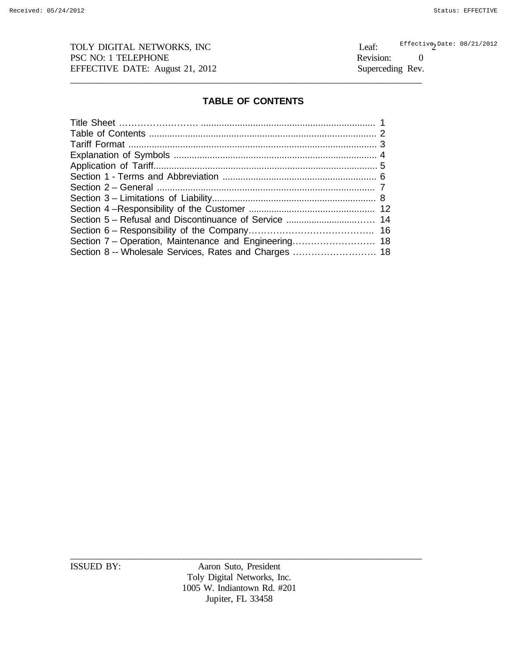TOLY DIGITAL NETWORKS, INC<br>
PSC NO: 1 TELEPHONE<br>
Revision: PSC NO: 1 TELEPHONE Revision: 0 EFFECTIVE DATE: August 21, 2012 Superceding Rev.

 $\texttt{Effective}_2$ Date: 08/21/2012

# **TABLE OF CONTENTS**

\_\_\_\_\_\_\_\_\_\_\_\_\_\_\_\_\_\_\_\_\_\_\_\_\_\_\_\_\_\_\_\_\_\_\_\_\_\_\_\_\_\_\_\_\_\_\_\_\_\_\_\_\_\_\_\_\_\_\_\_\_\_\_\_\_\_\_\_\_\_\_\_\_\_\_\_\_\_

ISSUED BY: Aaron Suto, President Toly Digital Networks, Inc. 1005 W. Indiantown Rd. #201 Jupiter, FL 33458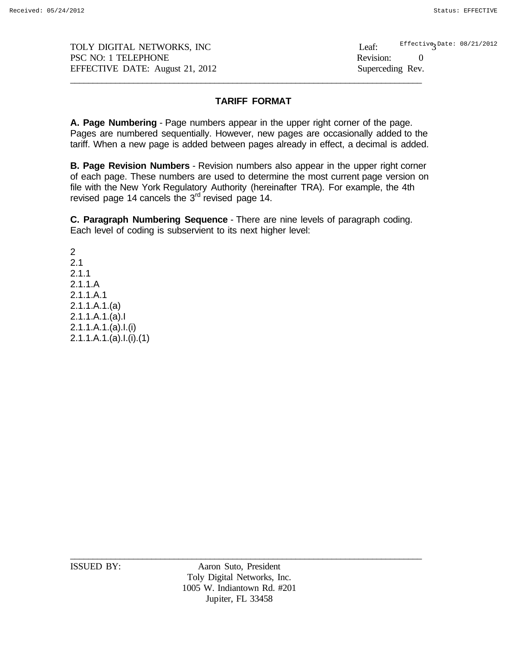TOLY DIGITAL NETWORKS, INC Leaf: PSC NO: 1 TELEPHONE Revision: 0 EFFECTIVE DATE: August 21, 2012 Superceding Rev. \_\_\_\_\_\_\_\_\_\_\_\_\_\_\_\_\_\_\_\_\_\_\_\_\_\_\_\_\_\_\_\_\_\_\_\_\_\_\_\_\_\_\_\_\_\_\_\_\_\_\_\_\_\_\_\_\_\_\_\_\_\_\_\_\_\_\_\_\_\_\_\_\_\_\_\_\_\_  $\texttt{Effective}_3^{\texttt{Date: 08/21/2012}}$ 

# **TARIFF FORMAT**

**A. Page Numbering** - Page numbers appear in the upper right corner of the page. Pages are numbered sequentially. However, new pages are occasionally added to the tariff. When a new page is added between pages already in effect, a decimal is added.

**B. Page Revision Numbers** - Revision numbers also appear in the upper right corner of each page. These numbers are used to determine the most current page version on file with the New York Regulatory Authority (hereinafter TRA). For example, the 4th revised page 14 cancels the 3<sup>rd</sup> revised page 14.

**C. Paragraph Numbering Sequence** - There are nine levels of paragraph coding. Each level of coding is subservient to its next higher level:

2 2.1 2.1.1 2.1.1.A 2.1.1.A.1 2.1.1.A.1.(a) 2.1.1.A.1.(a).I 2.1.1.A.1.(a).I.(i) 2.1.1.A.1.(a).I.(i).(1)

ISSUED BY: Aaron Suto, President Toly Digital Networks, Inc. 1005 W. Indiantown Rd. #201 Jupiter, FL 33458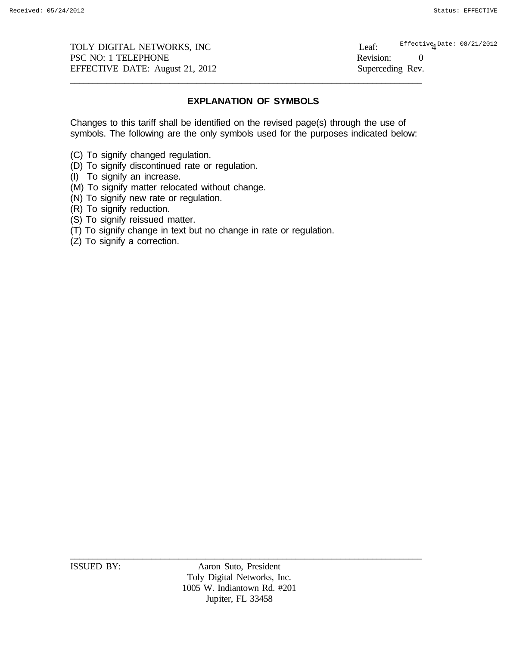TOLY DIGITAL NETWORKS, INC Leaf: PSC NO: 1 TELEPHONE Revision: 0 EFFECTIVE DATE: August 21, 2012 Superceding Rev. \_\_\_\_\_\_\_\_\_\_\_\_\_\_\_\_\_\_\_\_\_\_\_\_\_\_\_\_\_\_\_\_\_\_\_\_\_\_\_\_\_\_\_\_\_\_\_\_\_\_\_\_\_\_\_\_\_\_\_\_\_\_\_\_\_\_\_\_\_\_\_\_\_\_\_\_\_\_

Effective Date: 08/21/2012

# **EXPLANATION OF SYMBOLS**

Changes to this tariff shall be identified on the revised page(s) through the use of symbols. The following are the only symbols used for the purposes indicated below:

- (C) To signify changed regulation.
- (D) To signify discontinued rate or regulation.
- (I) To signify an increase.
- (M) To signify matter relocated without change.
- (N) To signify new rate or regulation.
- (R) To signify reduction.
- (S) To signify reissued matter.
- (T) To signify change in text but no change in rate or regulation.
- (Z) To signify a correction.

ISSUED BY: Aaron Suto, President Toly Digital Networks, Inc. 1005 W. Indiantown Rd. #201 Jupiter, FL 33458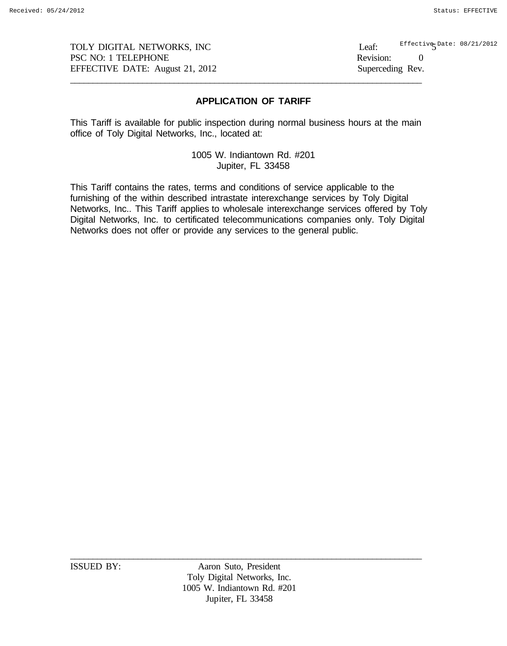$\mathsf{Effective}_{\mathcal{S}}$ Date: 08/21/2012

## **APPLICATION OF TARIFF**

This Tariff is available for public inspection during normal business hours at the main office of Toly Digital Networks, Inc., located at:

\_\_\_\_\_\_\_\_\_\_\_\_\_\_\_\_\_\_\_\_\_\_\_\_\_\_\_\_\_\_\_\_\_\_\_\_\_\_\_\_\_\_\_\_\_\_\_\_\_\_\_\_\_\_\_\_\_\_\_\_\_\_\_\_\_\_\_\_\_\_\_\_\_\_\_\_\_\_

1005 W. Indiantown Rd. #201 Jupiter, FL 33458

This Tariff contains the rates, terms and conditions of service applicable to the furnishing of the within described intrastate interexchange services by Toly Digital Networks, Inc.. This Tariff applies to wholesale interexchange services offered by Toly Digital Networks, Inc. to certificated telecommunications companies only. Toly Digital Networks does not offer or provide any services to the general public.

ISSUED BY: Aaron Suto, President Toly Digital Networks, Inc. 1005 W. Indiantown Rd. #201 Jupiter, FL 33458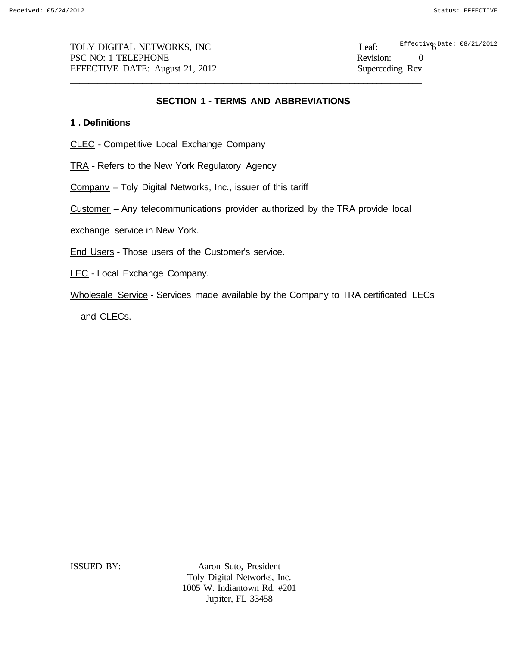TOLY DIGITAL NETWORKS, INC Leaf: PSC NO: 1 TELEPHONE Revision: 0 EFFECTIVE DATE: August 21, 2012 Superceding Rev. \_\_\_\_\_\_\_\_\_\_\_\_\_\_\_\_\_\_\_\_\_\_\_\_\_\_\_\_\_\_\_\_\_\_\_\_\_\_\_\_\_\_\_\_\_\_\_\_\_\_\_\_\_\_\_\_\_\_\_\_\_\_\_\_\_\_\_\_\_\_\_\_\_\_\_\_\_\_

Effective Date:  $08/21/2012$ 

# **SECTION 1 - TERMS AND ABBREVIATIONS**

# **1 . Definitions**

- CLEC Competitive Local Exchange Company
- TRA Refers to the New York Regulatory Agency
- Companv Toly Digital Networks, Inc., issuer of this tariff
- Customer Any telecommunications provider authorized by the TRA provide local
- exchange service in New York.
- End Users Those users of the Customer's service.
- LEC Local Exchange Company.
- Wholesale Service Services made available by the Company to TRA certificated LECs

and CLECs.

ISSUED BY: Aaron Suto, President Toly Digital Networks, Inc. 1005 W. Indiantown Rd. #201 Jupiter, FL 33458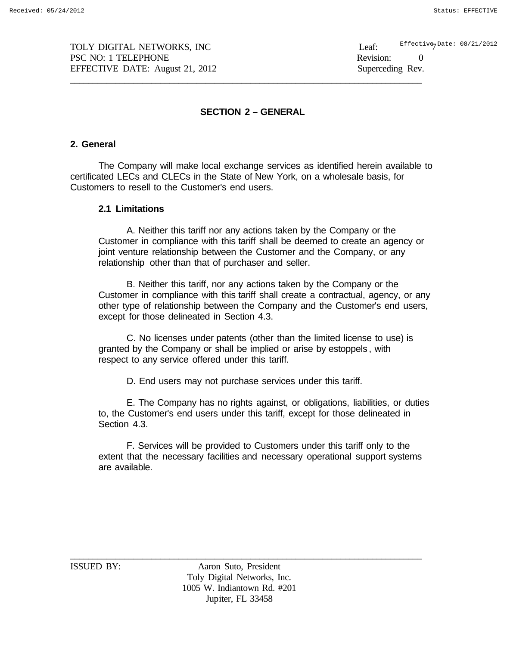Effective Date: 08/21/2012

# **SECTION 2 – GENERAL**

\_\_\_\_\_\_\_\_\_\_\_\_\_\_\_\_\_\_\_\_\_\_\_\_\_\_\_\_\_\_\_\_\_\_\_\_\_\_\_\_\_\_\_\_\_\_\_\_\_\_\_\_\_\_\_\_\_\_\_\_\_\_\_\_\_\_\_\_\_\_\_\_\_\_\_\_\_\_

# **2. General**

The Company will make local exchange services as identified herein available to certificated LECs and CLECs in the State of New York, on a wholesale basis, for Customers to resell to the Customer's end users.

# **2.1 Limitations**

A. Neither this tariff nor any actions taken by the Company or the Customer in compliance with this tariff shall be deemed to create an agency or joint venture relationship between the Customer and the Company, or any relationship other than that of purchaser and seller.

B. Neither this tariff, nor any actions taken by the Company or the Customer in compliance with this tariff shall create a contractual, agency, or any other type of relationship between the Company and the Customer's end users, except for those delineated in Section 4.3.

C. No licenses under patents (other than the limited license to use) is granted by the Company or shall be implied or arise by estoppels , with respect to any service offered under this tariff.

D. End users may not purchase services under this tariff.

E. The Company has no rights against, or obligations, liabilities, or duties to, the Customer's end users under this tariff, except for those delineated in Section 4.3.

F. Services will be provided to Customers under this tariff only to the extent that the necessary facilities and necessary operational support systems are available.

ISSUED BY: Aaron Suto, President Toly Digital Networks, Inc. 1005 W. Indiantown Rd. #201 Jupiter, FL 33458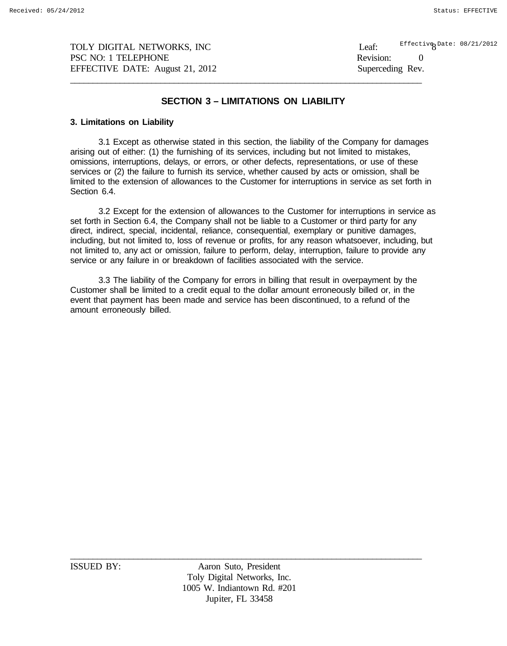$\frac{E\text{ffective}}{8}$ Date: 08/21/2012

# **SECTION 3 – LIMITATIONS ON LIABILITY**

\_\_\_\_\_\_\_\_\_\_\_\_\_\_\_\_\_\_\_\_\_\_\_\_\_\_\_\_\_\_\_\_\_\_\_\_\_\_\_\_\_\_\_\_\_\_\_\_\_\_\_\_\_\_\_\_\_\_\_\_\_\_\_\_\_\_\_\_\_\_\_\_\_\_\_\_\_\_

### **3. Limitations on Liability**

3.1 Except as otherwise stated in this section, the liability of the Company for damages arising out of either: (1) the furnishing of its services, including but not limited to mistakes, omissions, interruptions, delays, or errors, or other defects, representations, or use of these services or (2) the failure to furnish its service, whether caused by acts or omission, shall be limited to the extension of allowances to the Customer for interruptions in service as set forth in Section 6.4.

3.2 Except for the extension of allowances to the Customer for interruptions in service as set forth in Section 6.4, the Company shall not be liable to a Customer or third party for any direct, indirect, special, incidental, reliance, consequential, exemplary or punitive damages, including, but not limited to, loss of revenue or profits, for any reason whatsoever, including, but not limited to, any act or omission, failure to perform, delay, interruption, failure to provide any service or any failure in or breakdown of facilities associated with the service.

3.3 The liability of the Company for errors in billing that result in overpayment by the Customer shall be limited to a credit equal to the dollar amount erroneously billed or, in the event that payment has been made and service has been discontinued, to a refund of the amount erroneously billed.

ISSUED BY: Aaron Suto, President Toly Digital Networks, Inc. 1005 W. Indiantown Rd. #201 Jupiter, FL 33458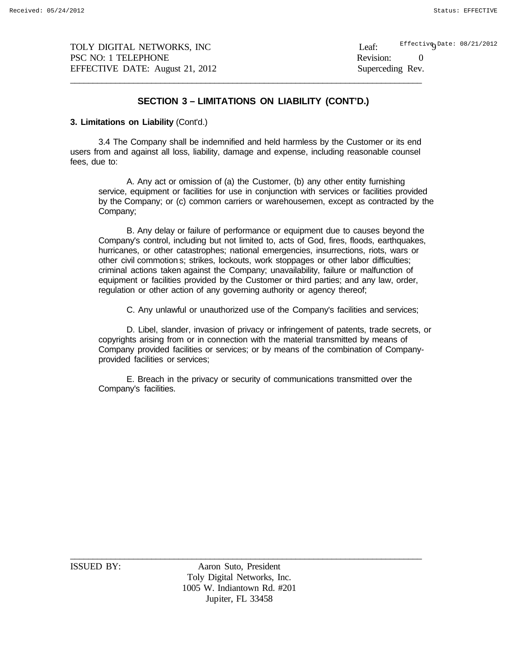$\texttt{Effectiv}$ e $\texttt{Date:}$  08/21/2012

# **SECTION 3 – LIMITATIONS ON LIABILITY (CONT'D.)**

\_\_\_\_\_\_\_\_\_\_\_\_\_\_\_\_\_\_\_\_\_\_\_\_\_\_\_\_\_\_\_\_\_\_\_\_\_\_\_\_\_\_\_\_\_\_\_\_\_\_\_\_\_\_\_\_\_\_\_\_\_\_\_\_\_\_\_\_\_\_\_\_\_\_\_\_\_\_

#### **3. Limitations on Liability** (Cont'd.)

3.4 The Company shall be indemnified and held harmless by the Customer or its end users from and against all loss, liability, damage and expense, including reasonable counsel fees, due to:

A. Any act or omission of (a) the Customer, (b) any other entity furnishing service, equipment or facilities for use in conjunction with services or facilities provided by the Company; or (c) common carriers or warehousemen, except as contracted by the Company;

B. Any delay or failure of performance or equipment due to causes beyond the Company's control, including but not limited to, acts of God, fires, floods, earthquakes, hurricanes, or other catastrophes; national emergencies, insurrections, riots, wars or other civil commotion s; strikes, lockouts, work stoppages or other labor difficulties; criminal actions taken against the Company; unavailability, failure or malfunction of equipment or facilities provided by the Customer or third parties; and any law, order, regulation or other action of any governing authority or agency thereof;

C. Any unlawful or unauthorized use of the Company's facilities and services;

D. Libel, slander, invasion of privacy or infringement of patents, trade secrets, or copyrights arising from or in connection with the material transmitted by means of Company provided facilities or services; or by means of the combination of Companyprovided facilities or services;

E. Breach in the privacy or security of communications transmitted over the Company's facilities.

ISSUED BY: Aaron Suto, President Toly Digital Networks, Inc. 1005 W. Indiantown Rd. #201 Jupiter, FL 33458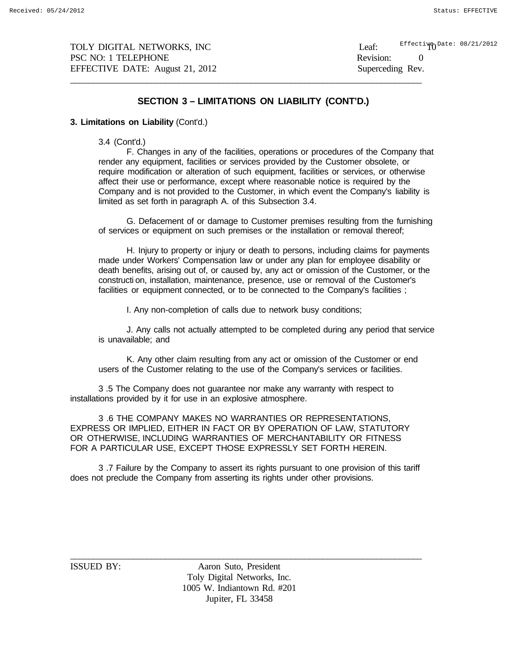$\texttt{EffectingDate: } 08/21/2012$ 

# **SECTION 3 – LIMITATIONS ON LIABILITY (CONT'D.)**

\_\_\_\_\_\_\_\_\_\_\_\_\_\_\_\_\_\_\_\_\_\_\_\_\_\_\_\_\_\_\_\_\_\_\_\_\_\_\_\_\_\_\_\_\_\_\_\_\_\_\_\_\_\_\_\_\_\_\_\_\_\_\_\_\_\_\_\_\_\_\_\_\_\_\_\_\_\_

#### **3. Limitations on Liability** (Cont'd.)

3.4 (Cont'd.)

F. Changes in any of the facilities, operations or procedures of the Company that render any equipment, facilities or services provided by the Customer obsolete, or require modification or alteration of such equipment, facilities or services, or otherwise affect their use or performance, except where reasonable notice is required by the Company and is not provided to the Customer, in which event the Company's liability is limited as set forth in paragraph A. of this Subsection 3.4.

G. Defacement of or damage to Customer premises resulting from the furnishing of services or equipment on such premises or the installation or removal thereof;

H. Injury to property or injury or death to persons, including claims for payments made under Workers' Compensation law or under any plan for employee disability or death benefits, arising out of, or caused by, any act or omission of the Customer, or the constructi on, installation, maintenance, presence, use or removal of the Customer's facilities or equipment connected, or to be connected to the Company's facilities ;

I. Any non-completion of calls due to network busy conditions;

J. Any calls not actually attempted to be completed during any period that service is unavailable; and

K. Any other claim resulting from any act or omission of the Customer or end users of the Customer relating to the use of the Company's services or facilities.

3 .5 The Company does not guarantee nor make any warranty with respect to installations provided by it for use in an explosive atmosphere.

3 .6 THE COMPANY MAKES NO WARRANTIES OR REPRESENTATIONS, EXPRESS OR IMPLIED, EITHER IN FACT OR BY OPERATION OF LAW, STATUTORY OR OTHERWISE, INCLUDING WARRANTIES OF MERCHANTABILITY OR FITNESS FOR A PARTICULAR USE, EXCEPT THOSE EXPRESSLY SET FORTH HEREIN.

3 .7 Failure by the Company to assert its rights pursuant to one provision of this tariff does not preclude the Company from asserting its rights under other provisions.

ISSUED BY: Aaron Suto, President Toly Digital Networks, Inc. 1005 W. Indiantown Rd. #201 Jupiter, FL 33458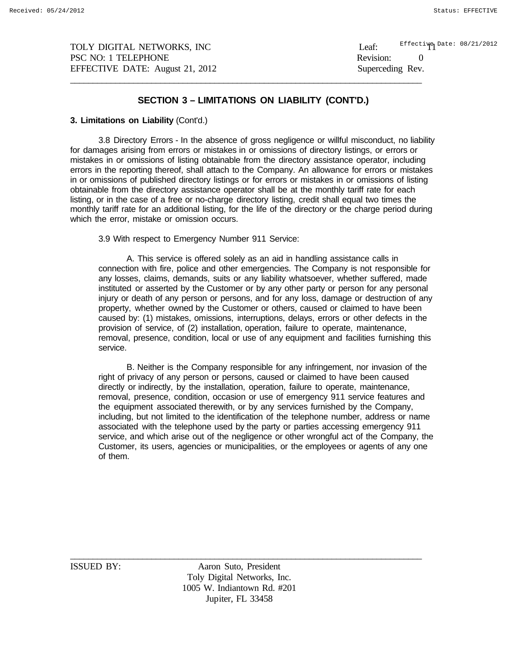Effecti**ve** Date: 08/21/2012

# **SECTION 3 – LIMITATIONS ON LIABILITY (CONT'D.)**

\_\_\_\_\_\_\_\_\_\_\_\_\_\_\_\_\_\_\_\_\_\_\_\_\_\_\_\_\_\_\_\_\_\_\_\_\_\_\_\_\_\_\_\_\_\_\_\_\_\_\_\_\_\_\_\_\_\_\_\_\_\_\_\_\_\_\_\_\_\_\_\_\_\_\_\_\_\_

#### **3. Limitations on Liability** (Cont'd.)

3.8 Directory Errors - In the absence of gross negligence or willful misconduct, no liability for damages arising from errors or mistakes in or omissions of directory listings, or errors or mistakes in or omissions of listing obtainable from the directory assistance operator, including errors in the reporting thereof, shall attach to the Company. An allowance for errors or mistakes in or omissions of published directory listings or for errors or mistakes in or omissions of listing obtainable from the directory assistance operator shall be at the monthly tariff rate for each listing, or in the case of a free or no-charge directory listing, credit shall equal two times the monthly tariff rate for an additional listing, for the life of the directory or the charge period during which the error, mistake or omission occurs.

3.9 With respect to Emergency Number 911 Service:

A. This service is offered solely as an aid in handling assistance calls in connection with fire, police and other emergencies. The Company is not responsible for any losses, claims, demands, suits or any liability whatsoever, whether suffered, made instituted or asserted by the Customer or by any other party or person for any personal injury or death of any person or persons, and for any loss, damage or destruction of any property, whether owned by the Customer or others, caused or claimed to have been caused by: (1) mistakes, omissions, interruptions, delays, errors or other defects in the provision of service, of (2) installation, operation, failure to operate, maintenance, removal, presence, condition, local or use of any equipment and facilities furnishing this service.

B. Neither is the Company responsible for any infringement, nor invasion of the right of privacy of any person or persons, caused or claimed to have been caused directly or indirectly, by the installation, operation, failure to operate, maintenance, removal, presence, condition, occasion or use of emergency 911 service features and the equipment associated therewith, or by any services furnished by the Company, including, but not limited to the identification of the telephone number, address or name associated with the telephone used by the party or parties accessing emergency 911 service, and which arise out of the negligence or other wrongful act of the Company, the Customer, its users, agencies or municipalities, or the employees or agents of any one of them.

\_\_\_\_\_\_\_\_\_\_\_\_\_\_\_\_\_\_\_\_\_\_\_\_\_\_\_\_\_\_\_\_\_\_\_\_\_\_\_\_\_\_\_\_\_\_\_\_\_\_\_\_\_\_\_\_\_\_\_\_\_\_\_\_\_\_\_\_\_\_\_\_\_\_\_\_\_\_ ISSUED BY: Aaron Suto, President Toly Digital Networks, Inc. 1005 W. Indiantown Rd. #201 Jupiter, FL 33458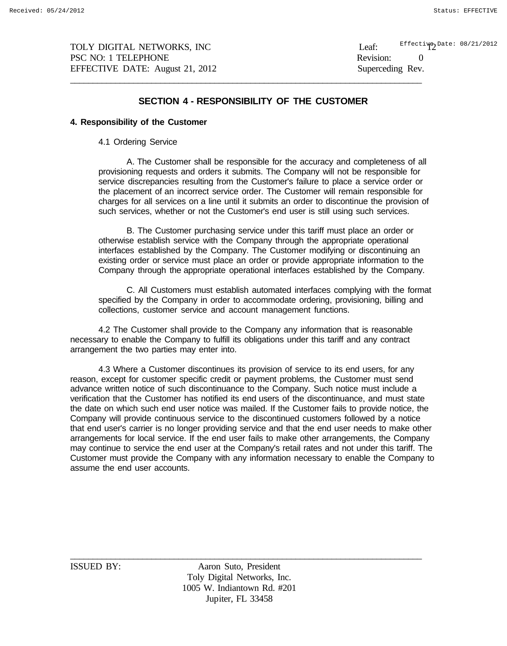Effecti**ye Date: 08/21/2012** 

### **SECTION 4 - RESPONSIBILITY OF THE CUSTOMER**

\_\_\_\_\_\_\_\_\_\_\_\_\_\_\_\_\_\_\_\_\_\_\_\_\_\_\_\_\_\_\_\_\_\_\_\_\_\_\_\_\_\_\_\_\_\_\_\_\_\_\_\_\_\_\_\_\_\_\_\_\_\_\_\_\_\_\_\_\_\_\_\_\_\_\_\_\_\_

#### **4. Responsibility of the Customer**

4.1 Ordering Service

A. The Customer shall be responsible for the accuracy and completeness of all provisioning requests and orders it submits. The Company will not be responsible for service discrepancies resulting from the Customer's failure to place a service order or the placement of an incorrect service order. The Customer will remain responsible for charges for all services on a line until it submits an order to discontinue the provision of such services, whether or not the Customer's end user is still using such services.

B. The Customer purchasing service under this tariff must place an order or otherwise establish service with the Company through the appropriate operational interfaces established by the Company. The Customer modifying or discontinuing an existing order or service must place an order or provide appropriate information to the Company through the appropriate operational interfaces established by the Company.

C. All Customers must establish automated interfaces complying with the format specified by the Company in order to accommodate ordering, provisioning, billing and collections, customer service and account management functions.

4.2 The Customer shall provide to the Company any information that is reasonable necessary to enable the Company to fulfill its obligations under this tariff and any contract arrangement the two parties may enter into.

4.3 Where a Customer discontinues its provision of service to its end users, for any reason, except for customer specific credit or payment problems, the Customer must send advance written notice of such discontinuance to the Company. Such notice must include a verification that the Customer has notified its end users of the discontinuance, and must state the date on which such end user notice was mailed. If the Customer fails to provide notice, the Company will provide continuous service to the discontinued customers followed by a notice that end user's carrier is no longer providing service and that the end user needs to make other arrangements for local service. If the end user fails to make other arrangements, the Company may continue to service the end user at the Company's retail rates and not under this tariff. The Customer must provide the Company with any information necessary to enable the Company to assume the end user accounts.

ISSUED BY: Aaron Suto, President Toly Digital Networks, Inc. 1005 W. Indiantown Rd. #201 Jupiter, FL 33458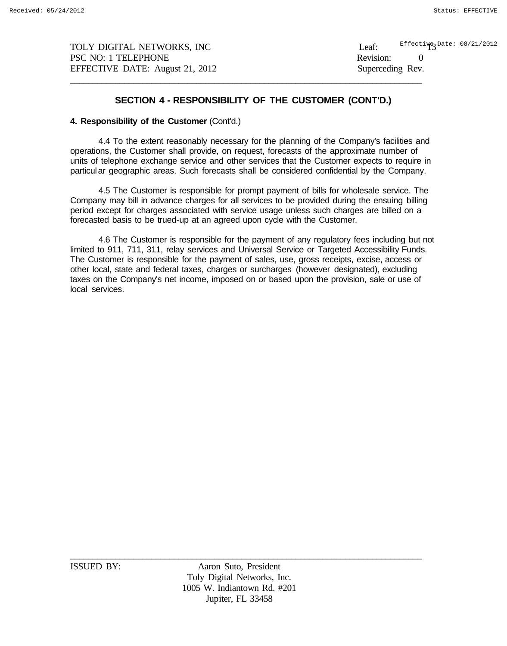Effecti**ye Date:** 08/21/2012

# **SECTION 4 - RESPONSIBILITY OF THE CUSTOMER (CONT'D.)**

\_\_\_\_\_\_\_\_\_\_\_\_\_\_\_\_\_\_\_\_\_\_\_\_\_\_\_\_\_\_\_\_\_\_\_\_\_\_\_\_\_\_\_\_\_\_\_\_\_\_\_\_\_\_\_\_\_\_\_\_\_\_\_\_\_\_\_\_\_\_\_\_\_\_\_\_\_\_

#### **4. Responsibility of the Customer** (Cont'd.)

4.4 To the extent reasonably necessary for the planning of the Company's facilities and operations, the Customer shall provide, on request, forecasts of the approximate number of units of telephone exchange service and other services that the Customer expects to require in particular geographic areas. Such forecasts shall be considered confidential by the Company.

4.5 The Customer is responsible for prompt payment of bills for wholesale service. The Company may bill in advance charges for all services to be provided during the ensuing billing period except for charges associated with service usage unless such charges are billed on a forecasted basis to be trued-up at an agreed upon cycle with the Customer.

4.6 The Customer is responsible for the payment of any regulatory fees including but not limited to 911, 711, 311, relay services and Universal Service or Targeted Accessibility Funds. The Customer is responsible for the payment of sales, use, gross receipts, excise, access or other local, state and federal taxes, charges or surcharges (however designated), excluding taxes on the Company's net income, imposed on or based upon the provision, sale or use of local services.

ISSUED BY: Aaron Suto, President Toly Digital Networks, Inc. 1005 W. Indiantown Rd. #201 Jupiter, FL 33458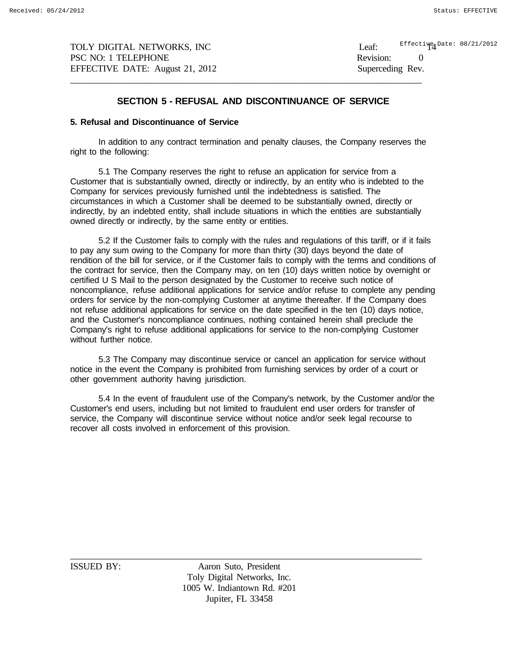TOLY DIGITAL NETWORKS, INC Leaf: PSC NO: 1 TELEPHONE Revision: 0 EFFECTIVE DATE: August 21, 2012 Superceding Rev. \_\_\_\_\_\_\_\_\_\_\_\_\_\_\_\_\_\_\_\_\_\_\_\_\_\_\_\_\_\_\_\_\_\_\_\_\_\_\_\_\_\_\_\_\_\_\_\_\_\_\_\_\_\_\_\_\_\_\_\_\_\_\_\_\_\_\_\_\_\_\_\_\_\_\_\_\_\_

Effecti**y**e Date: 08/21/2012

## **SECTION 5 - REFUSAL AND DISCONTINUANCE OF SERVICE**

#### **5. Refusal and Discontinuance of Service**

In addition to any contract termination and penalty clauses, the Company reserves the right to the following:

5.1 The Company reserves the right to refuse an application for service from a Customer that is substantially owned, directly or indirectly, by an entity who is indebted to the Company for services previously furnished until the indebtedness is satisfied. The circumstances in which a Customer shall be deemed to be substantially owned, directly or indirectly, by an indebted entity, shall include situations in which the entities are substantially owned directly or indirectly, by the same entity or entities.

5.2 If the Customer fails to comply with the rules and regulations of this tariff, or if it fails to pay any sum owing to the Company for more than thirty (30) days beyond the date of rendition of the bill for service, or if the Customer fails to comply with the terms and conditions of the contract for service, then the Company may, on ten (10) days written notice by overnight or certified U S Mail to the person designated by the Customer to receive such notice of noncompliance, refuse additional applications for service and/or refuse to complete any pending orders for service by the non-complying Customer at anytime thereafter. If the Company does not refuse additional applications for service on the date specified in the ten (10) days notice, and the Customer's noncompliance continues, nothing contained herein shall preclude the Company's right to refuse additional applications for service to the non-complying Customer without further notice.

5.3 The Company may discontinue service or cancel an application for service without notice in the event the Company is prohibited from furnishing services by order of a court or other government authority having jurisdiction.

5.4 In the event of fraudulent use of the Company's network, by the Customer and/or the Customer's end users, including but not limited to fraudulent end user orders for transfer of service, the Company will discontinue service without notice and/or seek legal recourse to recover all costs involved in enforcement of this provision.

\_\_\_\_\_\_\_\_\_\_\_\_\_\_\_\_\_\_\_\_\_\_\_\_\_\_\_\_\_\_\_\_\_\_\_\_\_\_\_\_\_\_\_\_\_\_\_\_\_\_\_\_\_\_\_\_\_\_\_\_\_\_\_\_\_\_\_\_\_\_\_\_\_\_\_\_\_\_ ISSUED BY: Aaron Suto, President Toly Digital Networks, Inc. 1005 W. Indiantown Rd. #201 Jupiter, FL 33458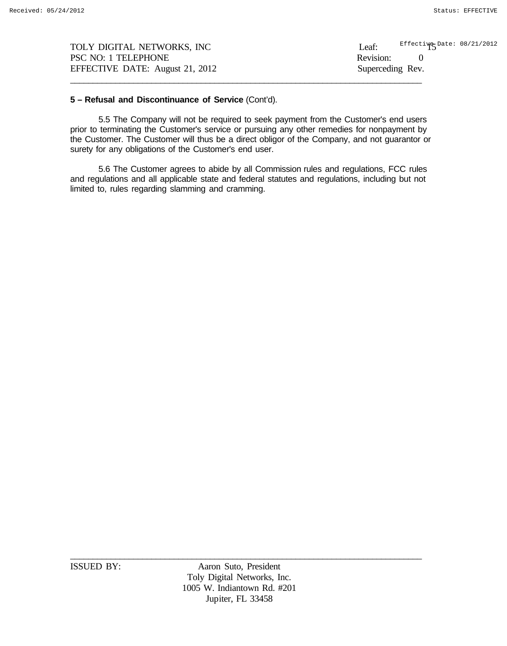| TOLY DIGITAL NETWORKS, INC      | Effective Date: 08/21/2012<br>Leaf: |
|---------------------------------|-------------------------------------|
| PSC NO: 1 TELEPHONE             | Revision:                           |
| EFFECTIVE DATE: August 21, 2012 | Superceding Rev.                    |
|                                 |                                     |

### **5 – Refusal and Discontinuance of Service** (Cont'd).

5.5 The Company will not be required to seek payment from the Customer's end users prior to terminating the Customer's service or pursuing any other remedies for nonpayment by the Customer. The Customer will thus be a direct obligor of the Company, and not guarantor or surety for any obligations of the Customer's end user.

5.6 The Customer agrees to abide by all Commission rules and regulations, FCC rules and regulations and all applicable state and federal statutes and regulations, including but not limited to, rules regarding slamming and cramming.

ISSUED BY: Aaron Suto, President Toly Digital Networks, Inc. 1005 W. Indiantown Rd. #201 Jupiter, FL 33458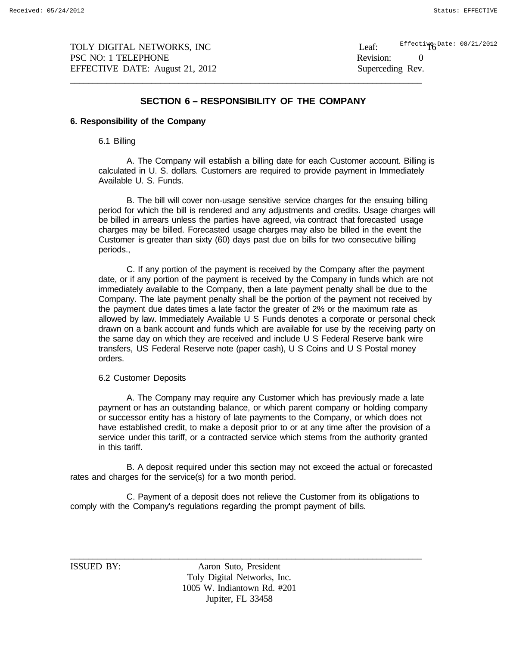$\frac{21}{2012}$  Effecti $\frac{16}{10}$  Date: 08/21/2012

### **SECTION 6 – RESPONSIBILITY OF THE COMPANY**

\_\_\_\_\_\_\_\_\_\_\_\_\_\_\_\_\_\_\_\_\_\_\_\_\_\_\_\_\_\_\_\_\_\_\_\_\_\_\_\_\_\_\_\_\_\_\_\_\_\_\_\_\_\_\_\_\_\_\_\_\_\_\_\_\_\_\_\_\_\_\_\_\_\_\_\_\_\_

# **6. Responsibility of the Company**

6.1 Billing

A. The Company will establish a billing date for each Customer account. Billing is calculated in U. S. dollars. Customers are required to provide payment in Immediately Available U. S. Funds.

B. The bill will cover non-usage sensitive service charges for the ensuing billing period for which the bill is rendered and any adjustments and credits. Usage charges will be billed in arrears unless the parties have agreed, via contract that forecasted usage charges may be billed. Forecasted usage charges may also be billed in the event the Customer is greater than sixty (60) days past due on bills for two consecutive billing periods.,

C. If any portion of the payment is received by the Company after the payment date, or if any portion of the payment is received by the Company in funds which are not immediately available to the Company, then a late payment penalty shall be due to the Company. The late payment penalty shall be the portion of the payment not received by the payment due dates times a late factor the greater of 2% or the maximum rate as allowed by law. Immediately Available U S Funds denotes a corporate or personal check drawn on a bank account and funds which are available for use by the receiving party on the same day on which they are received and include U S Federal Reserve bank wire transfers, US Federal Reserve note (paper cash), U S Coins and U S Postal money orders.

#### 6.2 Customer Deposits

A. The Company may require any Customer which has previously made a late payment or has an outstanding balance, or which parent company or holding company or successor entity has a history of late payments to the Company, or which does not have established credit, to make a deposit prior to or at any time after the provision of a service under this tariff, or a contracted service which stems from the authority granted in this tariff.

B. A deposit required under this section may not exceed the actual or forecasted rates and charges for the service(s) for a two month period.

C. Payment of a deposit does not relieve the Customer from its obligations to comply with the Company's regulations regarding the prompt payment of bills.

ISSUED BY: Aaron Suto, President Toly Digital Networks, Inc. 1005 W. Indiantown Rd. #201 Jupiter, FL 33458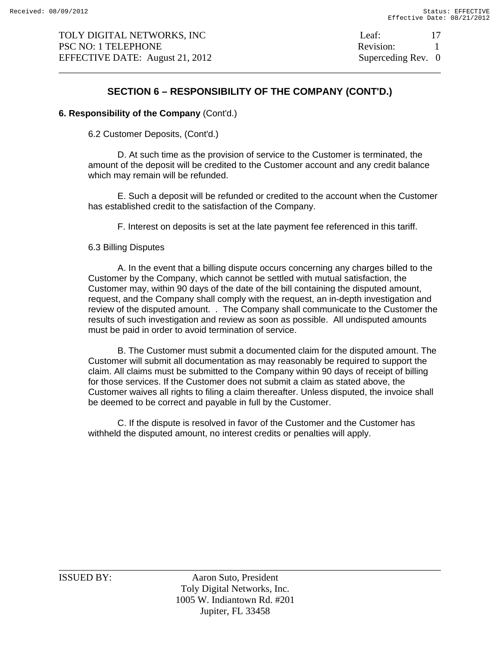\_\_\_\_\_\_\_\_\_\_\_\_\_\_\_\_\_\_\_\_\_\_\_\_\_\_\_\_\_\_\_\_\_\_\_\_\_\_\_\_\_\_\_\_\_\_\_\_\_\_\_\_\_\_\_\_\_\_\_\_\_\_\_\_\_\_\_\_\_\_\_\_\_\_\_\_\_\_ 17

# **SECTION 6 – RESPONSIBILITY OF THE COMPANY (CONT'D.)**

# **6. Responsibility of the Company** (Cont'd.)

6.2 Customer Deposits, (Cont'd.)

D. At such time as the provision of service to the Customer is terminated, the amount of the deposit will be credited to the Customer account and any credit balance which may remain will be refunded.

E. Such a deposit will be refunded or credited to the account when the Customer has established credit to the satisfaction of the Company.

F. Interest on deposits is set at the late payment fee referenced in this tariff.

### 6.3 Billing Disputes

A. In the event that a billing dispute occurs concerning any charges billed to the Customer by the Company, which cannot be settled with mutual satisfaction, the Customer may, within 90 days of the date of the bill containing the disputed amount, request, and the Company shall comply with the request, an in-depth investigation and review of the disputed amount. . The Company shall communicate to the Customer the results of such investigation and review as soon as possible. All undisputed amounts must be paid in order to avoid termination of service.

B. The Customer must submit a documented claim for the disputed amount. The Customer will submit all documentation as may reasonably be required to support the claim. All claims must be submitted to the Company within 90 days of receipt of billing for those services. If the Customer does not submit a claim as stated above, the Customer waives all rights to filing a claim thereafter. Unless disputed, the invoice shall be deemed to be correct and payable in full by the Customer.

C. If the dispute is resolved in favor of the Customer and the Customer has withheld the disputed amount, no interest credits or penalties will apply.

ISSUED BY: Aaron Suto, President Toly Digital Networks, Inc. 1005 W. Indiantown Rd. #201 Jupiter, FL 33458